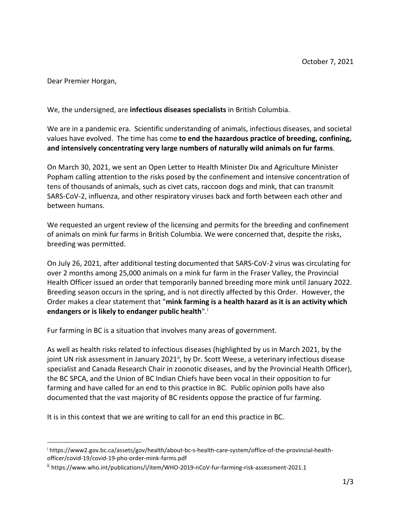Dear Premier Horgan,

We, the undersigned, are **infectious diseases specialists** in British Columbia.

We are in a pandemic era. Scientific understanding of animals, infectious diseases, and societal values have evolved. The time has come **to end the hazardous practice of breeding, confining, and intensively concentrating very large numbers of naturally wild animals on fur farms**.

On March 30, 2021, we sent an Open Letter to Health Minister Dix and Agriculture Minister Popham calling attention to the risks posed by the confinement and intensive concentration of tens of thousands of animals, such as civet cats, raccoon dogs and mink, that can transmit SARS-CoV-2, influenza, and other respiratory viruses back and forth between each other and between humans.

We requested an urgent review of the licensing and permits for the breeding and confinement of animals on mink fur farms in British Columbia. We were concerned that, despite the risks, breeding was permitted.

On July 26, 2021, after additional testing documented that SARS-CoV-2 virus was circulating for over 2 months among 25,000 animals on a mink fur farm in the Fraser Valley, the Provincial Health Officer issued an order that temporarily banned breeding more mink until January 2022. Breeding season occurs in the spring, and is not directly affected by this Order. However, the Order makes a clear statement that "**mink farming is a health hazard as it is an activity which endangers or is likely to endanger public health**".[i](#page-0-0)

Fur farming in BC is a situation that involves many areas of government.

As well as health risks related to infectious diseases (highlighted by us in March 2021, by the joint UN risk assessment in January 2021<sup>[ii](#page-0-1)</sup>, by Dr. Scott Weese, a veterinary infectious disease specialist and Canada Research Chair in zoonotic diseases, and by the Provincial Health Officer), the BC SPCA, and the Union of BC Indian Chiefs have been vocal in their opposition to fur farming and have called for an end to this practice in BC. Public opinion polls have also documented that the vast majority of BC residents oppose the practice of fur farming.

It is in this context that we are writing to call for an end this practice in BC.

<span id="page-0-0"></span><sup>i</sup> https://www2.gov.bc.ca/assets/gov/health/about-bc-s-health-care-system/office-of-the-provincial-healthofficer/covid-19/covid-19-pho-order-mink-farms.pdf

<span id="page-0-1"></span>ii https://www.who.int/publications/i/item/WHO-2019-nCoV-fur-farming-risk-assessment-2021.1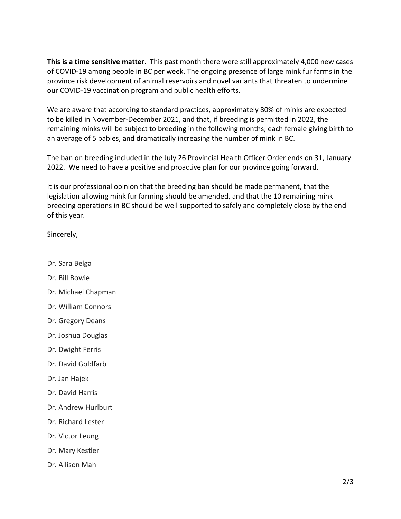**This is a time sensitive matter**. This past month there were still approximately 4,000 new cases of COVID-19 among people in BC per week. The ongoing presence of large mink fur farms in the province risk development of animal reservoirs and novel variants that threaten to undermine our COVID-19 vaccination program and public health efforts.

We are aware that according to standard practices, approximately 80% of minks are expected to be killed in November-December 2021, and that, if breeding is permitted in 2022, the remaining minks will be subject to breeding in the following months; each female giving birth to an average of 5 babies, and dramatically increasing the number of mink in BC.

The ban on breeding included in the July 26 Provincial Health Officer Order ends on 31, January 2022. We need to have a positive and proactive plan for our province going forward.

It is our professional opinion that the breeding ban should be made permanent, that the legislation allowing mink fur farming should be amended, and that the 10 remaining mink breeding operations in BC should be well supported to safely and completely close by the end of this year.

Sincerely,

- Dr. Sara Belga
- Dr. Bill Bowie
- Dr. Michael Chapman
- Dr. William Connors
- Dr. Gregory Deans
- Dr. Joshua Douglas
- Dr. Dwight Ferris
- Dr. David Goldfarb
- Dr. Jan Hajek
- Dr. David Harris
- Dr. Andrew Hurlburt
- Dr. Richard Lester
- Dr. Victor Leung
- Dr. Mary Kestler
- Dr. Allison Mah